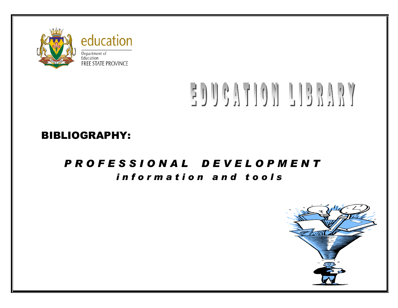

# EDUCATION LIBRARY

## BIBLIOGRAPHY:

## *P R O F E S S I O N A L D E V E L O P M E N T i n f o r m a t i o n a n d t o o l s*

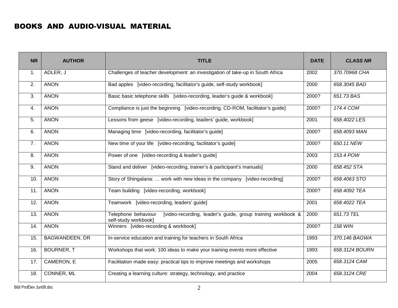### BOOKS AND AUDIO-VISUAL MATERIAL

| <b>NR</b>      | <b>AUTHOR</b>         | <b>TITLE</b>                                                                                               |       | <b>CLASS NR</b> |
|----------------|-----------------------|------------------------------------------------------------------------------------------------------------|-------|-----------------|
| 1.             | ADLER, J              | Challenges of teacher development: an investigation of take-up in South Africa                             | 2002  | 370.70968 CHA   |
| 2.             | <b>ANON</b>           | Bad apples [video-recording, facilitator's guide, self-study workbook]<br>2000                             |       | 658.3045 BAD    |
| 3.             | <b>ANON</b>           | Basic basic telephone skills [video-recording, leader's guide & workbook]                                  | 2000? | 651.73 BAS      |
| 4.             | <b>ANON</b>           | Compliance is just the beginning [video-recording, CD-ROM, facilitator's guide]                            | 2000? | 174.4 COM       |
| 5.             | <b>ANON</b>           | Lessons from geese [video-recording, leaders' guide, workbook]                                             | 2001  | 658.4022 LES    |
| 6.             | <b>ANON</b>           | Managing time [video-recording, facilitator's guide]                                                       | 2000? | 658.4093 MAN    |
| 7 <sub>1</sub> | <b>ANON</b>           | New time of your life [video-recording, facilitator's guide]                                               | 2000? | 650.11 NEW      |
| 8.             | <b>ANON</b>           | Power of one [video-recording & leader's guide]<br>2003                                                    |       | 153.4 POW       |
| 9.             | <b>ANON</b>           | Stand and deliver [video-recording, trainer's & participant's manuals]<br>2000                             |       | 658.452 STA     |
| 10.            | <b>ANON</b>           | Story of Shingalana:  work with new ideas in the company [video-recording]<br>2000?                        |       | 658,4063 STO    |
| 11.            | <b>ANON</b>           | Team building [video-recording, workbook]<br>2000?                                                         |       | 658.4092 TEA    |
| 12.            | <b>ANON</b>           | Teamwork [video-recording, leaders' guide]<br>2001                                                         |       | 658.4022 TEA    |
| 13.            | <b>ANON</b>           | [video-recording, leader's guide, group training workbook &<br>Telephone behaviour<br>self-study workbook] | 2000  | 651.73 TEL      |
| 14.            | <b>ANON</b>           | Winners [video-recording & workbook]                                                                       |       | <b>158 WIN</b>  |
| 15.            | <b>BAGWANDEEN, DR</b> | In-service education and training for teachers in South Africa                                             |       | 370.146 BAGWA   |
| 16.            | <b>BOURNER, T</b>     | Workshops that work: 100 ideas to make your training events more effective                                 |       | 658.3124 BOURN  |
| 17.            | CAMERON, E            | Facilitation made easy: practical tips to improve meetings and workshops                                   |       | 658.3124 CAM    |
| 18.            | CONNER, ML            | 2004<br>Creating a learning culture: strategy, technology, and practice                                    |       | 658.3124 CRE    |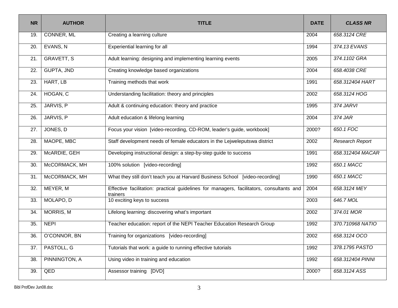| <b>NR</b> | <b>AUTHOR</b>     | <b>TITLE</b>                                                                                         |       | <b>CLASS NR</b>  |
|-----------|-------------------|------------------------------------------------------------------------------------------------------|-------|------------------|
| 19.       | CONNER, ML        | Creating a learning culture<br>2004                                                                  |       | 658.3124 CRE     |
| 20.       | EVANS, N          | Experiential learning for all                                                                        | 1994  | 374.13 EVANS     |
| 21.       | <b>GRAVETT, S</b> | Adult learning: designing and implementing learning events                                           | 2005  | 374.1102 GRA     |
| 22.       | <b>GUPTA, JND</b> | Creating knowledge based organizations                                                               | 2004  | 658.4038 CRE     |
| 23.       | HART, LB          | Training methods that work                                                                           | 1991  | 658.312404 HART  |
| 24.       | HOGAN, C          | Understanding facilitation: theory and principles                                                    | 2002  | 658.3124 HOG     |
| 25.       | JARVIS, P         | Adult & continuing education: theory and practice                                                    | 1995  | 374 JARVI        |
| 26.       | JARVIS, P         | Adult education & lifelong learning                                                                  | 2004  | 374 JAR          |
| 27.       | JONES, D          | Focus your vision [video-recording, CD-ROM, leader's guide, workbook]<br>2000?                       |       | 650.1 FOC        |
| 28.       | MAOPE, MBC        | Staff development needs of female educators in the Lejweleputswa district<br>2002                    |       | Research Report  |
| 29.       | McARDIE, GEH      | Developing instructional design: a step-by-step guide to success<br>1991                             |       | 658.312404 MACAR |
| 30.       | McCORMACK, MH     | 100% solution [video-recording]<br>1992                                                              |       | 650.1 MACC       |
| 31.       | McCORMACK, MH     | What they still don't teach you at Harvard Business School [video-recording]                         | 1990  | 650.1 MACC       |
| 32.       | MEYER, M          | Effective facilitation: practical guidelines for managers, facilitators, consultants and<br>trainers | 2004  | 658.3124 MEY     |
| 33.       | MOLAPO, D         | 10 exciting keys to success                                                                          | 2003  | 646.7 MOL        |
| 34.       | <b>MORRIS, M</b>  | Lifelong learning: discovering what's important                                                      |       | 374.01 MOR       |
| 35.       | <b>NEPI</b>       | Teacher education: report of the NEPI Teacher Education Research Group                               |       | 370.710968 NATIO |
| 36.       | O'CONNOR, BN      | Training for organizations [video-recording]                                                         |       | 658.3124 OCO     |
| 37.       | PASTOLL, G        | Tutorials that work: a guide to running effective tutorials                                          |       | 378.1795 PASTO   |
| 38.       | PINNINGTON, A     | Using video in training and education                                                                |       | 658.312404 PINNI |
| 39.       | QED               | Assessor training [DVD]                                                                              | 2000? | 658.3124 ASS     |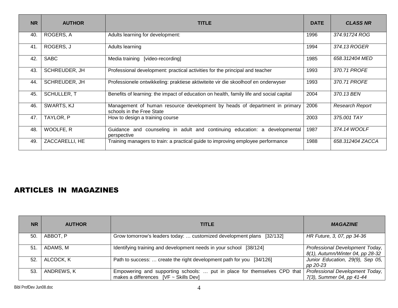| <b>NR</b> | <b>AUTHOR</b>      | <b>TITLE</b>                                                                                            |      | <b>CLASS NR</b>        |
|-----------|--------------------|---------------------------------------------------------------------------------------------------------|------|------------------------|
| 40.       | ROGERS, A          | Adults learning for development:                                                                        | 1996 | 374.91724 ROG          |
| 41.       | ROGERS, J          | Adults learning                                                                                         | 1994 | 374.13 ROGER           |
| 42.       | <b>SABC</b>        | Media training [video-recording]                                                                        | 1985 | 658.312404 MED         |
| 43.       | SCHREUDER, JH      | 1993<br>Professional development: practical activities for the principal and teacher                    |      | 370.71 PROFE           |
| 44.       | SCHREUDER, JH      | 1993<br>Professionele ontwikkeling: praktiese aktiwiteite vir die skoolhoof en onderwyser               |      | 370.71 PROFE           |
| 45.       | <b>SCHULLER, T</b> | 2004<br>Benefits of learning: the impact of education on health, family life and social capital         |      | 370.13 BEN             |
| 46.       | SWARTS, KJ         | Management of human resource development by heads of department in primary<br>schools in the Free State |      | <b>Research Report</b> |
| 47.       | TAYLOR, P          | How to design a training course                                                                         |      | 375.001 TAY            |
| 48.       | WOOLFE, R          | Guidance and counseling in adult and continuing education: a developmental<br>perspective               |      | 374.14 WOOLF           |
| 49.       | ZACCARELLI, HE     | Training managers to train: a practical guide to improving employee performance                         |      | 658.312404 ZACCA       |

#### ARTICLES IN MAGAZINES

| <b>NR</b> | <b>AUTHOR</b> | <b>TITLE</b>                                                                                                           | <b>MAGAZINE</b>                                                     |
|-----------|---------------|------------------------------------------------------------------------------------------------------------------------|---------------------------------------------------------------------|
| 50.       | ABBOT, P      | Grow tomorrow's leaders today:  customized development plans [32/132]                                                  | HR Future, 3, 07, pp 34-36                                          |
| 51        | ADAMS, M      | Identifying training and development needs in your school [38/124]                                                     | Professional Development Today,<br>8(1), Autumn/Winter 04, pp 28-32 |
| 52.       | ALCOCK, K     | Path to success:  create the right development path for you [34/126]                                                   | Junior Education, 29(9), Sep 05,<br>pp 20-23                        |
| 53.       | ANDREWS, K    | Empowering and supporting schools:  put in place for themselves CPD that<br>makes a differences $[VF \sim Skills Dev]$ | Professional Development Today,<br>7(3), Summer 04, pp 41-44        |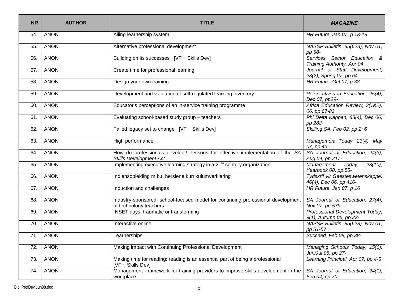| <b>NR</b> | <b>AUTHOR</b> | <b>TITLE</b>                                                                                                   | <b>MAGAZINE</b>                                                         |
|-----------|---------------|----------------------------------------------------------------------------------------------------------------|-------------------------------------------------------------------------|
| 54.       | <b>ANON</b>   | Ailing learnership system                                                                                      | HR Future, Jan 07, p 18-19                                              |
| 55.       | <b>ANON</b>   | Alternative professional development                                                                           | NASSP Bulletin, 85(628), Nov 01,<br>pp 58-                              |
| 56.       | <b>ANON</b>   | Building on its successes [VF ~ Skills Dev]                                                                    | Services Sector Education &<br>Training Authority, Apr 04               |
| 57.       | <b>ANON</b>   | Create time for professional learning                                                                          | Journal of Staff Development,<br>28(2), Spring 07, pp 64-               |
| 58.       | <b>ANON</b>   | Design your own training                                                                                       | HR Future, Oct 07, p 38                                                 |
| 59.       | <b>ANON</b>   | Development and validation of self-regulated learning inventory                                                | Perspectives in Education, 25(4),<br>Dec 07, pp29-                      |
| 60.       | <b>ANON</b>   | Educator's perceptions of an in-service training programme                                                     | Africa Education Review, 3(1&2),<br>06, pp 67-83                        |
| 61.       | <b>ANON</b>   | Evaluating school-based study group - teachers                                                                 | Phi Delta Kappan, 88(4), Dec 06,<br>pp 282-                             |
| 62.       | <b>ANON</b>   | Failed legacy set to change $[VF \sim Skills Dev]$                                                             | Skilling SA, Feb 02, pp 2; 6                                            |
| 63.       | <b>ANON</b>   | High performance                                                                                               | Management Today, 23(4), May<br>07, pp 43 -                             |
| 64.       | <b>ANON</b>   | How do professionals develop?: lessons for effective implementation of the SA<br><b>Skills Development Act</b> | SA Journal of Education, 24(3),<br>Aug 04, pp 217-                      |
| 65.       | <b>ANON</b>   | Implementing executive learning strategy in a 21 <sup>st</sup> century organization                            | $\overline{T}$ oday,<br>$23(10)$ ,<br>Management<br>Yearbook 08, pp 55- |
| 66.       | <b>ANON</b>   | Indiensopleiding m.b.t. hersiene kurrikulumverklaring                                                          | Tydskrif vir Geesteswetenskappe,<br>46(4), Dec 06, pp 416-              |
| 67.       | <b>ANON</b>   | Induction and challenges                                                                                       | HR Future, Jan 07, p 16                                                 |
| 68.       | <b>ANON</b>   | Industry-sponsored, school-focused model for continuing professional development<br>of technology teachers     | SA Journal of Education, 27(4),<br>Nov 07, pp 579-                      |
| 69.       | <b>ANON</b>   | INSET days: traumatic or transforming                                                                          | Professional Development Today,<br>9(1), Autumn 05, pp 22-              |
| 70.       | <b>ANON</b>   | Interactive online                                                                                             | NASSP Bulletin, 85(628), Nov 01,<br>pp 51-57                            |
| 71.       | <b>ANON</b>   | Learnerships                                                                                                   | Succeed, Feb 08, pp 38-                                                 |
| 72.       | <b>ANON</b>   | Making impact with Continuing Professional Development                                                         | Managing Schools Today, 15(6),<br>Jun/Jul 06, pp 27-                    |
| 73.       | <b>ANON</b>   | Making time for reading: reading is an essential part of being a professional<br>[VF ~ Skills Dev]             | Learning Principal, Apr 07, pp 4-5                                      |
| 74.       | <b>ANON</b>   | Management framework for training providers to improve skills development in the<br>workplace                  | SA Journal of Education, 24(1),<br>Feb 04, pp 70-                       |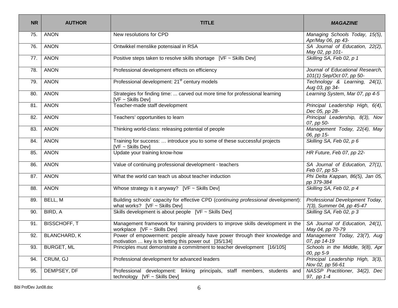| <b>NR</b> | <b>AUTHOR</b>       | <b>TITLE</b>                                                                                                                                             | <b>MAGAZINE</b>                                               |
|-----------|---------------------|----------------------------------------------------------------------------------------------------------------------------------------------------------|---------------------------------------------------------------|
| 75.       | <b>ANON</b>         | New resolutions for CPD                                                                                                                                  | Managing Schools Today, 15(5),<br>Apr/May 06, pp 43-          |
| 76.       | <b>ANON</b>         | Ontwikkel menslike potensiaal in RSA                                                                                                                     | SA Journal of Education, 22(2),<br>May 02, pp 101-            |
| 77.       | <b>ANON</b>         | Positive steps taken to resolve skills shortage [VF ~ Skills Dev]                                                                                        | Skilling SA, Feb 02, p 1                                      |
| 78.       | <b>ANON</b>         | Professional development effects on efficiency                                                                                                           | Journal of Educational Research.<br>101(1) Sep/Oct 07, pp 50- |
| 79.       | <b>ANON</b>         | Professional development: 21 <sup>st</sup> century models                                                                                                | Technology & Learning, 24(1),<br>Aug 03, pp 34-               |
| 80.       | <b>ANON</b>         | Strategies for finding time:  carved out more time for professional learning<br>$[VF - Skills Dev]$                                                      | Learning System, Mar 07, pp 4-5                               |
| 81.       | <b>ANON</b>         | Teacher-made staff development                                                                                                                           | Principal Leadership High, 6(4),<br>Dec 05, pp 28-            |
| 82.       | <b>ANON</b>         | Teachers' opportunities to learn                                                                                                                         | Principal Leadership, 8(3), Nov<br>07, pp 50-                 |
| 83.       | <b>ANON</b>         | Thinking world-class: releasing potential of people                                                                                                      | Management Today, 22(4), May<br>06, pp 15-                    |
| 84.       | <b>ANON</b>         | Training for success:  introduce you to some of these successful projects<br>$[VF - Skills Dev]$                                                         | Skilling SA, Feb 02, p 6                                      |
| 85.       | <b>ANON</b>         | Update your training know-how                                                                                                                            | HR Future, Feb 07, pp 22-                                     |
| 86.       | <b>ANON</b>         | Value of continuing professional development - teachers                                                                                                  | SA Journal of Education, 27(1),<br>Feb 07, pp 53-             |
| 87.       | <b>ANON</b>         | What the world can teach us about teacher induction                                                                                                      | Phi Delta Kappan, 86(5), Jan 05,<br>pp 379-384                |
| 88.       | <b>ANON</b>         | Whose strategy is it anyway? [VF $\sim$ Skills Dev]                                                                                                      | Skilling SA, Feb 02, p 4                                      |
| 89.       | BELL, M             | Building schools' capacity for effective CPD (continuing professional development):<br>what works? $[VF \sim Skills Dev]$                                | Professional Development Today,<br>7(3), Summer 04, pp 45-47  |
| 90.       | BIRD, A             | Skills development is about people [VF ~ Skills Dev]                                                                                                     | Skilling SA, Feb 02, p 3                                      |
| 91.       | <b>BISSCHOFF, T</b> | Management framework for training providers to improve skills development in the<br>workplace [VF ~ Skills Dev]                                          | SA Journal of Education, 24(1),<br>May 04, pp 70-79           |
| 92.       | <b>BLANCHARD, K</b> | Power of empowerment: people already have power through their knowledge and<br>motivation $\dots$ key is to letting this power out $\left[35/134\right]$ | Management Today, 23(7), Aug<br>07, pp 14-19                  |
| 93.       | <b>BURGET, ML</b>   | Principles must demonstrate a commitment to teacher development [16/105]                                                                                 | Schools in the Middle, 9(8), Apr<br>00, pp 5-9                |
| 94.       | CRUM, GJ            | Professional development for advanced leaders                                                                                                            | Principal Leadership High, 3(3),<br>Nov 02, pp 56-61          |
| 95.       | DEMPSEY, DF         | Professional development: linking principals, staff members, students and<br>technology [VF ~ Skills Dev]                                                | NASSP Practitioner, 34(2), Dec<br>97, pp 1-4                  |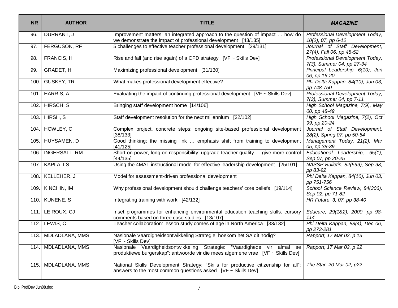| <b>NR</b> | <b>AUTHOR</b>       | <b>TITLE</b>                                                                                                                                                                           | <b>MAGAZINE</b>                                              |
|-----------|---------------------|----------------------------------------------------------------------------------------------------------------------------------------------------------------------------------------|--------------------------------------------------------------|
| 96.       | DURRANT, J          | Improvement matters: an integrated approach to the question of impact  how do<br>we demonstrate the impact of professional development [43/135]                                        | Professional Development Today,<br>10(2), 07, pp 6-12        |
| 97.       | <b>FERGUSON, RF</b> | 5 challenges to effective teacher professional development [29/131]                                                                                                                    | Journal of Staff Development,<br>27(4), Fall 06, pp 48-52    |
| 98.       | FRANCIS, H          | Rise and fall (and rise again) of a CPD strategy [VF ~ Skills Dev]                                                                                                                     | Professional Development Today,<br>7(3), Summer 04, pp 27-34 |
| 99.       | <b>GRADET, H</b>    | Maximizing professional development [31/130]                                                                                                                                           | Principal Leadership, 6(10), Jun<br>06, pp 16-20             |
| 100.      | <b>GUSKEY, TR</b>   | What makes professional development effective?                                                                                                                                         | Phi Delta Kappan, 84(10), Jun 03,<br>pp 748-750              |
| 101.      | HARRIS, A           | Evaluating the impact of continuing professional development $[VF \sim Skills Dev]$                                                                                                    | Professional Development Today,<br>7(3), Summer 04, pp 7-11  |
| 102.      | HIRSCH, S           | Bringing staff development home [14/106]                                                                                                                                               | High School Magazine, 7(9), May<br>00, pp 48-49              |
|           | 103. HIRSH, S       | Staff development resolution for the next millennium [22/102]                                                                                                                          | High School Magazine, 7(2), Oct<br>99, pp 20-24              |
|           | 104. HOWLEY, C      | Complex project, concrete steps: ongoing site-based professional development<br>[38/133]                                                                                               | Journal of Staff Development,<br>28(2), Spring 07, pp 50-54  |
|           | 105. HUYSAMEN, D    | Good thinking: the missing link  emphasis shift from training to development<br>[41/125]                                                                                               | Management Today, 21(2), Mar<br>05, pp 38-39                 |
|           | 106. INGERSALL, RM  | Short on power, long on responsibility: upgrade teacher quality  give more control<br>[44/135]                                                                                         | Educational Leadership, 65(1),<br>Sep 07, pp 20-25           |
|           | 107. KAPLA, LS      | Using the 4MAT instructional model for effective leadership development [25/101]                                                                                                       | NASSP Bulletin, 82(599), Sep 98,<br>pp 83-92                 |
|           | 108. KELLEHER, J    | Model for assessment-driven professional development                                                                                                                                   | Phi Delta Kappan, 84(10), Jun 03,<br>pp 751-756              |
|           | 109. KINCHIN, IM    | Why professional development should challenge teachers' core beliefs [19/114]                                                                                                          | School Science Review, 84(306),<br>Sep 02, pp 71-82          |
|           | 110. KUNENE, S      | Integrating training with work [42/132]                                                                                                                                                | HR Future, 3, 07, pp 38-40                                   |
|           | $111.$ LE ROUX, CJ  | Inset programmes for enhancing environmental education teaching skills: cursory<br>comments based on three case studies [13/107]                                                       | Educare, 29(1&2), 2000, pp 98-<br>114                        |
|           | 112. LEWIS, $C$     | Teacher collaboration: lesson study comes of age in North America [33/132]                                                                                                             | Phi Delta Kappan, 88(4), Dec 06,<br>pp 273-281               |
|           | 113. MDLADLANA, MMS | Nasionale Vaardigheidsontwikkeling Strategie: hoekom het SA dit nodig?<br>[VF ~ Skills Dev]                                                                                            | Rapport, 17 Mar 02, p 13                                     |
|           | 114. MDLADLANA, MMS | Nasionale Vaardigheidsontwikkeling Strategie: "Vaardighede vir almal se<br>Rapport, 17 Mar 02, p 22<br>produktiewe burgerskap": antwoorde vir die mees algemene vrae [VF ~ Skills Dev] |                                                              |
|           | 115. MDLADLANA, MMS | National Skills Development Strategy: "Skills for productive citizenship for all":<br>answers to the most common questions asked $[VF \sim Skills Dev]$                                | The Star, 20 Mar 02, p22                                     |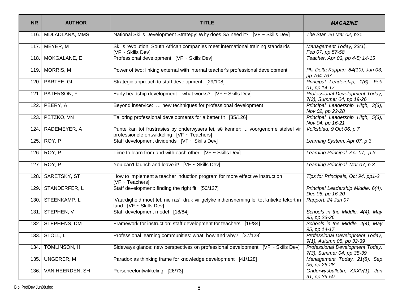| <b>NR</b> | <b>AUTHOR</b>      | <b>TITLE</b>                                                                                                                   | <b>MAGAZINE</b>                                              |
|-----------|--------------------|--------------------------------------------------------------------------------------------------------------------------------|--------------------------------------------------------------|
| 116.      | MDLADLANA, MMS     | National Skills Development Strategy: Why does SA need it? [VF ~ Skills Dev]                                                   | The Star, 20 Mar 02, p21                                     |
|           | 117. MEYER, M      | Skills revolution: South African companies meet international training standards<br>[VF ~ Skills Dev]                          | Management Today, 23(1),<br>Feb 07, pp 57-58                 |
|           | 118. MOKGALANE, E  | Professional development [VF ~ Skills Dev]                                                                                     | Teacher, Apr 03, pp 4-5; 14-15                               |
|           | 119. MORRIS, M     | Power of two: linking external with internal teacher's professional development                                                | Phi Delta Kappan, 84(10), Jun 03,<br>pp 764-767              |
| 120.      | PARTEE, GL         | Strategic approach to staff development [29/108]                                                                               | Principal Leadership, 1(6), Feb<br>01, pp 14-17              |
|           | 121. PATERSON, F   | Early headship development – what works? [VF $\sim$ Skills Dev]                                                                | Professional Development Today,<br>7(3), Summer 04, pp 19-26 |
| 122.      | PEERY, A           | Beyond inservice:  new techniques for professional development                                                                 | Principal Leadership High, 3(3),<br>Nov 02, pp 22-28         |
|           | 123. PETZKO, VN    | Tailoring professional developments for a better fit [35/126]                                                                  | Principal Leadership High, 5(3),<br>Nov 04, pp 16-21         |
| 124.      | RADEMEYER, A       | Punte kan tot frustrasies by onderwysers lei, sê kenner:  voorgenome stelsel vir<br>professionele ontwikkeling [VF ~ Teachers] | Volksblad, 9 Oct 06, p 7                                     |
|           | 125. ROY, P        | Staff development dividends [VF ~ Skills Dev]                                                                                  | Learning System, Apr 07, p 3                                 |
|           | 126. ROY, P        | Time to learn from and with each other $[VF \sim Skills Dev]$                                                                  | Learning Principal, Apr 07, p 3                              |
|           | 127. ROY, P        | You can't launch and leave it! [VF ~ Skills Dev]                                                                               | Learning Principal, Mar 07, p 3                              |
|           | 128. SARETSKY, ST  | How to implement a teacher induction program for more effective instruction<br>$[VF - Teachers]$                               | Tips for Principals, Oct 94, pp1-2                           |
|           | 129. STANDERFER, L | Staff development: finding the right fit [50/127]                                                                              | Principal Leadership Middle, 6(4),<br>Dec 05, pp 16-20       |
|           | 130. STEENKAMP, L  | 'Vaardigheid moet tel, nie ras': druk vir gelyke indiensneming lei tot kritieke tekort in<br>land $[VF \sim Skills Dev]$       | Rapport, 24 Jun 07                                           |
|           | 131. STEPHEN, V    | Staff development model [18/84]                                                                                                | Schools in the Middle, 4(4), May<br>95, pp 23-26             |
|           | 132. STEPHENS, DM  | Framework for instruction: staff development for teachers [19/84]                                                              | Schools in the Middle, 4(4), May<br>95, pp 14-17             |
|           | 133. STOLL, L      | Professional learning communities: what, how and why? [37/128]                                                                 | Professional Development Today,<br>9(1), Autumn 05, pp 32-39 |
| 134.1     | TOMLINSON, H       | Sideways glance: new perspectives on professional development $[VF \sim Skills Dev]$                                           | Professional Development Today,<br>7(3), Summer 04, pp 35-39 |
|           | 135. UNGERER, M    | Paradox as thinking frame for knowledge development [41/128]                                                                   | Management Today, 21(8), Sep<br>05, pp 26-28                 |
| 136.      | VAN HEERDEN, SH    | Personeelontwikkeling [26/73]                                                                                                  | Onderwysbulletin, XXXV(1), Jun<br>91, pp 39-50               |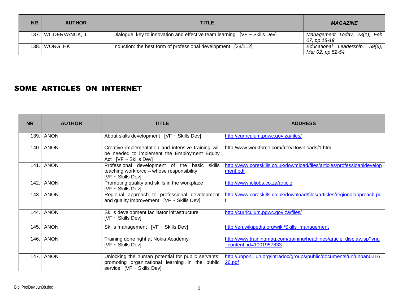| <b>NR</b> | <b>AUTHOR</b>       | TITLE                                                                          | <b>MAGAZINE</b>                                    |
|-----------|---------------------|--------------------------------------------------------------------------------|----------------------------------------------------|
|           | 137. WILDERVANCK, J | Dialogue: key to innovation and effective team learning $[VF \sim Skills Dev]$ | Management Today, 23(1), Feb<br>07, pp 18-19       |
|           | 138. WONG, HK       | Induction: the best form of professional development [28/112]                  | Educational Leadership, 59(6),<br>Mar 02, pp 52-54 |

#### SOME ARTICLES ON INTERNET

| <b>NR</b> | <b>AUTHOR</b> | <b>TITLE</b>                                                                                                                            | <b>ADDRESS</b>                                                                                 |
|-----------|---------------|-----------------------------------------------------------------------------------------------------------------------------------------|------------------------------------------------------------------------------------------------|
| 139.      | <b>ANON</b>   | About skills development [VF ~ Skills Dev]                                                                                              | http://curriculum.pgwc.gov.za/files/                                                           |
| 140.1     | <b>ANON</b>   | Creative implementation and intensive training will<br>be needed to implement the Employment Equity<br>Act $[VF \sim Skills Dev]$       | http:/www.workforce.com/free/Downloads/1.htm                                                   |
| 141.1     | <b>ANON</b>   | Professional development of the basic<br>skills<br>teaching workforce - whose responsibility<br><b>IVF ~ Skills Dev1</b>                | http://www.coreskills.co.uk/dowmload/files/articles/professioanIdevelop<br>ment.pdf            |
| 142.      | <b>ANON</b>   | Promoting quality and skills in the workplace<br>$[VF - Skills Dev]$                                                                    | http://www.ioljobs.co.za/article                                                               |
| 143.      | <b>ANON</b>   | Regional approach to professional development<br>and quality improvement $[VF \sim Skills Dev]$                                         | http://www.coreskills.co.uk/download/files/articles/regionalapproach.pd                        |
| 144.1     | <b>ANON</b>   | Skills development facilitator infrastructure<br>$[VF - Skills Dev]$                                                                    | http://curriculum.pgwc.gov.za/files/                                                           |
| 145.      | <b>ANON</b>   | Skills management [VF ~ Skills Dev]                                                                                                     | http://en.wikipedia.org/wiki/Skills_management                                                 |
| 146.      | <b>ANON</b>   | Training done right at Nokia Academy<br>$[VF - Skills Dev]$                                                                             | http://www.trainingmag.com/training/headlines/article_display.jsp?vnu<br>content_id=1001957833 |
| 147.      | <b>ANON</b>   | Unlocking the human potential for public servants:<br>promoting organizational learning in the public<br>service $[VF \sim Skills Dev]$ | http://unpon1.un.org/intradoc/groups/public/documents/un/unpan0216<br>26.pdf                   |